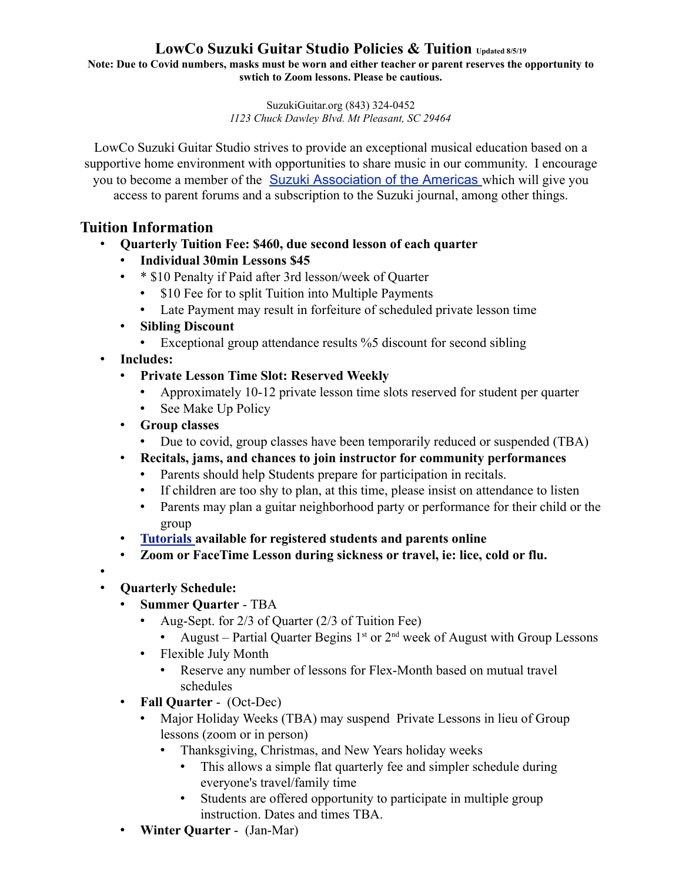**Note: Due to Covid numbers, masks must be worn and either teacher or parent reserves the opportunity to swtich to Zoom lessons. Please be cautious.**

> SuzukiGuitar.org (843) 324-0452 *1123 Chuck Dawley Blvd. Mt Pleasant, SC 29464*

LowCo Suzuki Guitar Studio strives to provide an exceptional musical education based on a supportive home environment with opportunities to share music in our community. I encourage you to become a member of the Suzuki Association of the Americas which will give you access to parent forums and a subscription to the Suzuki journal, among other things.

## **Tuition Information**

- **Quarterly Tuition Fee: \$460, due second lesson of each quarter**
	- **Individual 30min Lessons \$45**
	- \* \$10 Penalty if Paid after 3rd lesson/week of Quarter
		- \$10 Fee for to split Tuition into Multiple Payments
		- Late Payment may result in forfeiture of scheduled private lesson time
	- **Sibling Discount**
		- Exceptional group attendance results %5 discount for second sibling
- **Includes:**
	- **Private Lesson Time Slot: Reserved Weekly**
		- Approximately 10-12 private lesson time slots reserved for student per quarter
		- See Make Up Policy
	- **Group classes**
		- Due to covid, group classes have been temporarily reduced or suspended (TBA)
	- **Recitals, jams, and chances to join instructor for community performances**
		- Parents should help Students prepare for participation in recitals.
		- If children are too shy to plan, at this time, please insist on attendance to listen
		- Parents may plan a guitar neighborhood party or performance for their child or the group
	- **Tutorials available for registered students and parents online**
	- **Zoom or FaceTime Lesson during sickness or travel, ie: lice, cold or flu.**
- •
- **Quarterly Schedule:**
	- **Summer Quarter** TBA
		- Aug-Sept. for 2/3 of Quarter (2/3 of Tuition Fee)
			- August Partial Quarter Begins  $1^{st}$  or  $2^{nd}$  week of August with Group Lessons
		- Flexible July Month
			- Reserve any number of lessons for Flex-Month based on mutual travel schedules
	- **Fall Quarter** (Oct-Dec)
		- Major Holiday Weeks (TBA) may suspend Private Lessons in lieu of Group lessons (zoom or in person)
			- Thanksgiving, Christmas, and New Years holiday weeks
				- This allows a simple flat quarterly fee and simpler schedule during everyone's travel/family time
				- Students are offered opportunity to participate in multiple group instruction. Dates and times TBA.
	- **Winter Quarter**  (Jan-Mar)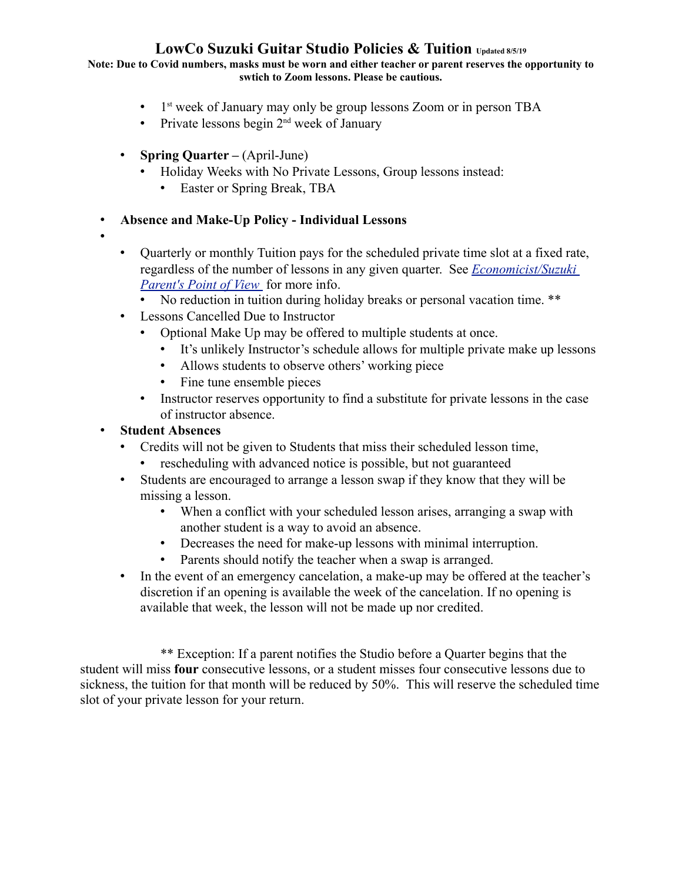**Note: Due to Covid numbers, masks must be worn and either teacher or parent reserves the opportunity to swtich to Zoom lessons. Please be cautious.**

- $\bullet$  1<sup>st</sup> week of January may only be group lessons Zoom or in person TBA
- Private lessons begin  $2<sup>nd</sup>$  week of January
- **Spring Quarter –** (April-June)
	- Holiday Weeks with No Private Lessons, Group lessons instead:
		- Easter or Spring Break, TBA

## • **Absence and Make-Up Policy - Individual Lessons**

- •
- Quarterly or monthly Tuition pays for the scheduled private time slot at a fixed rate, regardless of the number of lessons in any given quarter. See *Economicist/Suzuki*  <sup>1st</sup> week of January may only be gotherwise Private lessons begin 2<sup>nd</sup> week of J<br> **Spring Quarter** – (April-June)<br> **•** Holiday Weeks with No Private Le<br>
• Easter or Spring Break, TBA<br> **• Easter or Spring Break**, TBA<br> **•** 
	- No reduction in tuition during holiday breaks or personal vacation time. \*\*
- Lessons Cancelled Due to Instructor
	- Optional Make Up may be offered to multiple students at once.
		- It's unlikely Instructor's schedule allows for multiple private make up lessons
		- Allows students to observe others' working piece
		- Fine tune ensemble pieces
	- Instructor reserves opportunity to find a substitute for private lessons in the case of instructor absence.

## • **Student Absences**

- Credits will not be given to Students that miss their scheduled lesson time,
	- rescheduling with advanced notice is possible, but not guaranteed
- Students are encouraged to arrange a lesson swap if they know that they will be missing a lesson.
	- When a conflict with your scheduled lesson arises, arranging a swap with another student is a way to avoid an absence.
	- Decreases the need for make-up lessons with minimal interruption.
	- Parents should notify the teacher when a swap is arranged.
- In the event of an emergency cancelation, a make-up may be offered at the teacher's discretion if an opening is available the week of the cancelation. If no opening is available that week, the lesson will not be made up nor credited.

\*\* Exception: If a parent notifies the Studio before a Quarter begins that the student will miss **four** consecutive lessons, or a student misses four consecutive lessons due to sickness, the tuition for that month will be reduced by 50%. This will reserve the scheduled time slot of your private lesson for your return.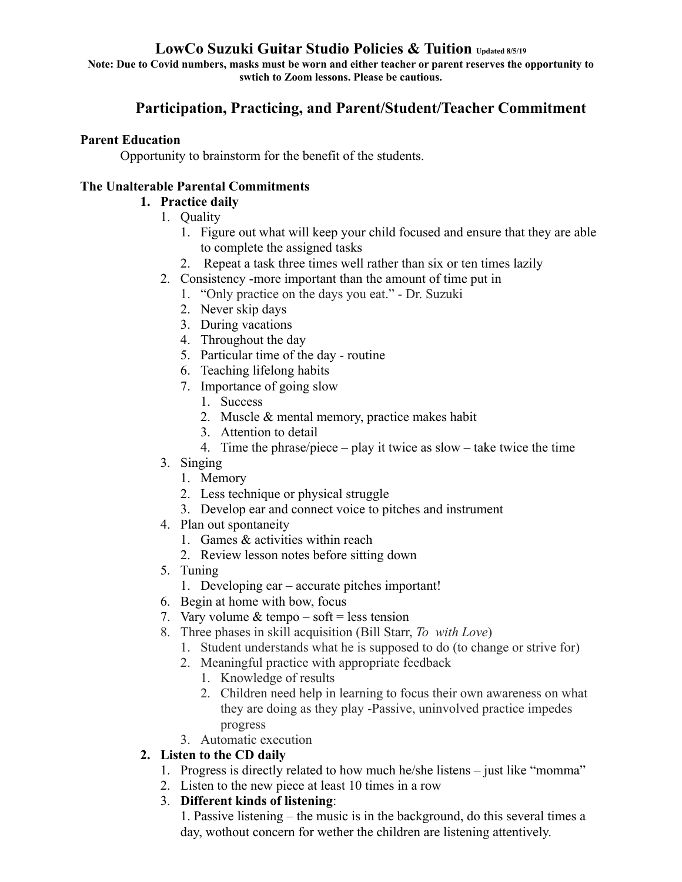**Note: Due to Covid numbers, masks must be worn and either teacher or parent reserves the opportunity to swtich to Zoom lessons. Please be cautious.**

# **Participation, Practicing, and Parent/Student/Teacher Commitment**

### **Parent Education**

Opportunity to brainstorm for the benefit of the students.

### **The Unalterable Parental Commitments**

## **1. Practice daily**

- 1. Quality
	- 1. Figure out what will keep your child focused and ensure that they are able to complete the assigned tasks
	- 2. Repeat a task three times well rather than six or ten times lazily
- 2. Consistency -more important than the amount of time put in
	- 1. "Only practice on the days you eat." Dr. Suzuki
	- 2. Never skip days
	- 3. During vacations
	- 4. Throughout the day
	- 5. Particular time of the day routine
	- 6. Teaching lifelong habits
	- 7. Importance of going slow
		- 1. Success
		- 2. Muscle & mental memory, practice makes habit
		- 3. Attention to detail
		- 4. Time the phrase/piece play it twice as slow take twice the time
- 3. Singing
	- 1. Memory
	- 2. Less technique or physical struggle
	- 3. Develop ear and connect voice to pitches and instrument
- 4. Plan out spontaneity
	- 1. Games & activities within reach
	- 2. Review lesson notes before sitting down
- 5. Tuning
	- 1. Developing ear accurate pitches important!
- 6. Begin at home with bow, focus
- 7. Vary volume  $&$  tempo soft = less tension
- 8. Three phases in skill acquisition (Bill Starr, *To with Love*)
	- 1. Student understands what he is supposed to do (to change or strive for)
	- 2. Meaningful practice with appropriate feedback
		- 1. Knowledge of results
		- 2. Children need help in learning to focus their own awareness on what they are doing as they play -Passive, uninvolved practice impedes progress
	- 3. Automatic execution
- **2. Listen to the CD daily**
	- 1. Progress is directly related to how much he/she listens just like "momma"
	- 2. Listen to the new piece at least 10 times in a row
	- 3. **Different kinds of listening**:

1. Passive listening – the music is in the background, do this several times a day, wothout concern for wether the children are listening attentively.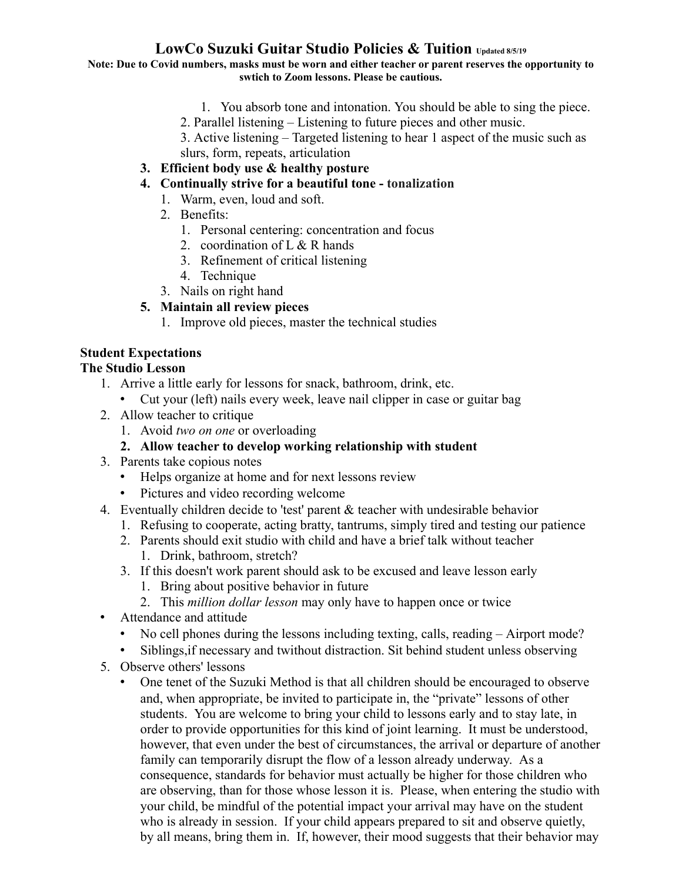#### **Note: Due to Covid numbers, masks must be worn and either teacher or parent reserves the opportunity to swtich to Zoom lessons. Please be cautious.**

- 1. You absorb tone and intonation. You should be able to sing the piece.
- 2. Parallel listening Listening to future pieces and other music.
- 3. Active listening Targeted listening to hear 1 aspect of the music such as slurs, form, repeats, articulation
- **3. Efficient body use & healthy posture**
- **4. Continually strive for a beautiful tone tonalization**
	- 1. Warm, even, loud and soft.
	- 2. Benefits:
		- 1. Personal centering: concentration and focus
		- 2. coordination of  $L < R$  hands
		- 3. Refinement of critical listening
		- 4. Technique
	- 3. Nails on right hand

### **5. Maintain all review pieces**

1. Improve old pieces, master the technical studies

# **Student Expectations**

### **The Studio Lesson**

- 1. Arrive a little early for lessons for snack, bathroom, drink, etc.
	- Cut your (left) nails every week, leave nail clipper in case or guitar bag
- 2. Allow teacher to critique
	- 1. Avoid *two on one* or overloading

### **2. Allow teacher to develop working relationship with student**

- 3. Parents take copious notes
	- Helps organize at home and for next lessons review
	- Pictures and video recording welcome
- 4. Eventually children decide to 'test' parent & teacher with undesirable behavior
	- 1. Refusing to cooperate, acting bratty, tantrums, simply tired and testing our patience
	- 2. Parents should exit studio with child and have a brief talk without teacher
		- 1. Drink, bathroom, stretch?
	- 3. If this doesn't work parent should ask to be excused and leave lesson early
		- 1. Bring about positive behavior in future
		- 2. This *million dollar lesson* may only have to happen once or twice
- Attendance and attitude
	- No cell phones during the lessons including texting, calls, reading Airport mode?
	- Siblings,if necessary and twithout distraction. Sit behind student unless observing
- 5. Observe others' lessons
	- One tenet of the Suzuki Method is that all children should be encouraged to observe and, when appropriate, be invited to participate in, the "private" lessons of other students. You are welcome to bring your child to lessons early and to stay late, in order to provide opportunities for this kind of joint learning. It must be understood, however, that even under the best of circumstances, the arrival or departure of another family can temporarily disrupt the flow of a lesson already underway. As a consequence, standards for behavior must actually be higher for those children who are observing, than for those whose lesson it is. Please, when entering the studio with your child, be mindful of the potential impact your arrival may have on the student who is already in session. If your child appears prepared to sit and observe quietly, by all means, bring them in. If, however, their mood suggests that their behavior may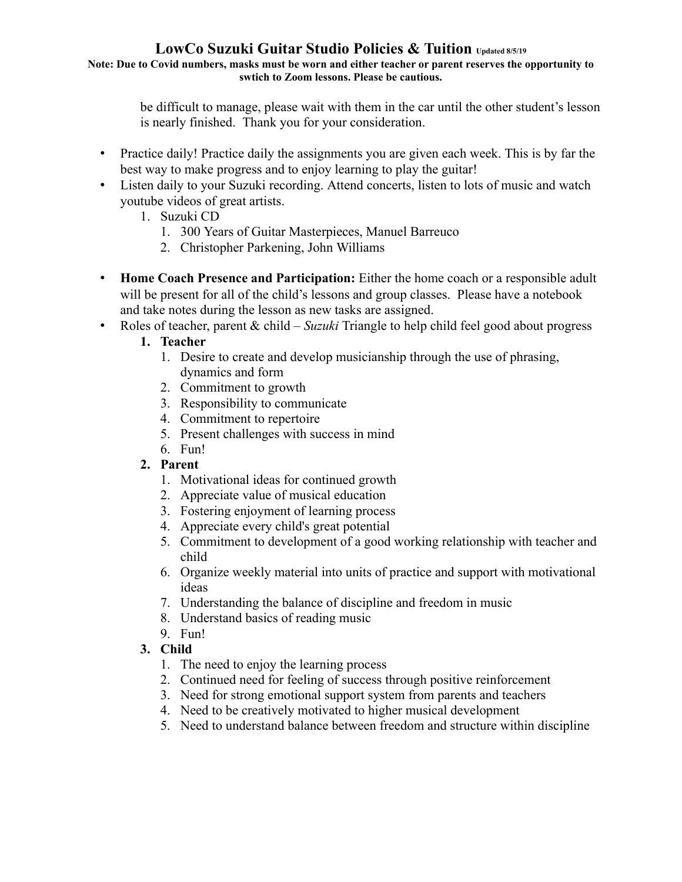**Note: Due to Covid numbers, masks must be worn and either teacher or parent reserves the opportunity to swtich to Zoom lessons. Please be cautious.**

> be difficult to manage, please wait with them in the car until the other student's lesson is nearly finished. Thank you for your consideration.

- Practice daily! Practice daily the assignments you are given each week. This is by far the best way to make progress and to enjoy learning to play the guitar!
- Listen daily to your Suzuki recording. Attend concerts, listen to lots of music and watch youtube videos of great artists.
	- 1. Suzuki CD
		- 1. 300 Years of Guitar Masterpieces, Manuel Barreuco
		- 2. Christopher Parkening, John Williams
- **Home Coach Presence and Participation:** Either the home coach or a responsible adult will be present for all of the child's lessons and group classes. Please have a notebook and take notes during the lesson as new tasks are assigned.
- Roles of teacher, parent & child *Suzuki* Triangle to help child feel good about progress
	- **1. Teacher**
		- 1. Desire to create and develop musicianship through the use of phrasing, dynamics and form
		- 2. Commitment to growth
		- 3. Responsibility to communicate
		- 4. Commitment to repertoire
		- 5. Present challenges with success in mind
		- 6. Fun!
	- **2. Parent**
		- 1. Motivational ideas for continued growth
		- 2. Appreciate value of musical education
		- 3. Fostering enjoyment of learning process
		- 4. Appreciate every child's great potential
		- 5. Commitment to development of a good working relationship with teacher and child
		- 6. Organize weekly material into units of practice and support with motivational ideas
		- 7. Understanding the balance of discipline and freedom in music
		- 8. Understand basics of reading music
		- 9. Fun!

## **3. Child**

- 1. The need to enjoy the learning process
- 2. Continued need for feeling of success through positive reinforcement
- 3. Need for strong emotional support system from parents and teachers
- 4. Need to be creatively motivated to higher musical development
- 5. Need to understand balance between freedom and structure within discipline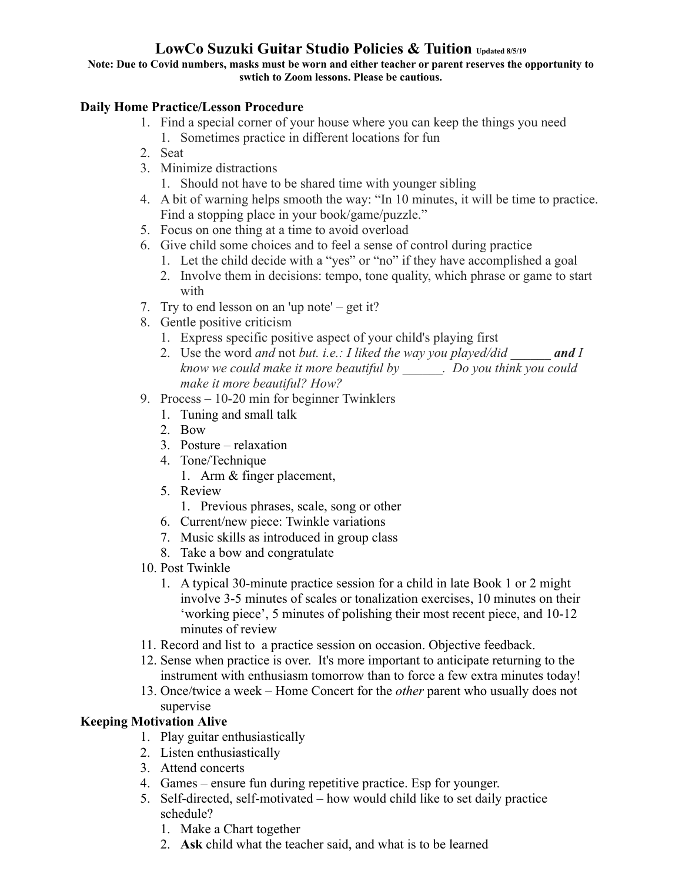**Note: Due to Covid numbers, masks must be worn and either teacher or parent reserves the opportunity to swtich to Zoom lessons. Please be cautious.**

## **Daily Home Practice/Lesson Procedure**

- 1. Find a special corner of your house where you can keep the things you need 1. Sometimes practice in different locations for fun
- 2. Seat
- 3. Minimize distractions
	- 1. Should not have to be shared time with younger sibling
- 4. A bit of warning helps smooth the way: "In 10 minutes, it will be time to practice. Find a stopping place in your book/game/puzzle."
- 5. Focus on one thing at a time to avoid overload
- 6. Give child some choices and to feel a sense of control during practice
	- 1. Let the child decide with a "yes" or "no" if they have accomplished a goal
	- 2. Involve them in decisions: tempo, tone quality, which phrase or game to start with
- 7. Try to end lesson on an 'up note' get it?
- 8. Gentle positive criticism
	- 1. Express specific positive aspect of your child's playing first
	- 2. Use the word *and* not *but. i.e.: I liked the way you played/did and I know we could make it more beautiful by \_\_\_\_\_\_. Do you think you could make it more beautiful? How?*
- 9. Process 10-20 min for beginner Twinklers
	- 1. Tuning and small talk
	- 2. Bow
	- 3. Posture relaxation
	- 4. Tone/Technique
		- 1. Arm & finger placement,
	- 5. Review
		- 1. Previous phrases, scale, song or other
	- 6. Current/new piece: Twinkle variations
	- 7. Music skills as introduced in group class
	- 8. Take a bow and congratulate
- 10. Post Twinkle
	- 1. A typical 30-minute practice session for a child in late Book 1 or 2 might involve 3-5 minutes of scales or tonalization exercises, 10 minutes on their 'working piece', 5 minutes of polishing their most recent piece, and 10-12 minutes of review
- 11. Record and list to a practice session on occasion. Objective feedback.
- 12. Sense when practice is over. It's more important to anticipate returning to the instrument with enthusiasm tomorrow than to force a few extra minutes today!
- 13. Once/twice a week Home Concert for the *other* parent who usually does not supervise

### **Keeping Motivation Alive**

- 1. Play guitar enthusiastically
- 2. Listen enthusiastically
- 3. Attend concerts
- 4. Games ensure fun during repetitive practice. Esp for younger.
- 5. Self-directed, self-motivated how would child like to set daily practice schedule?
	- 1. Make a Chart together
	- 2. **Ask** child what the teacher said, and what is to be learned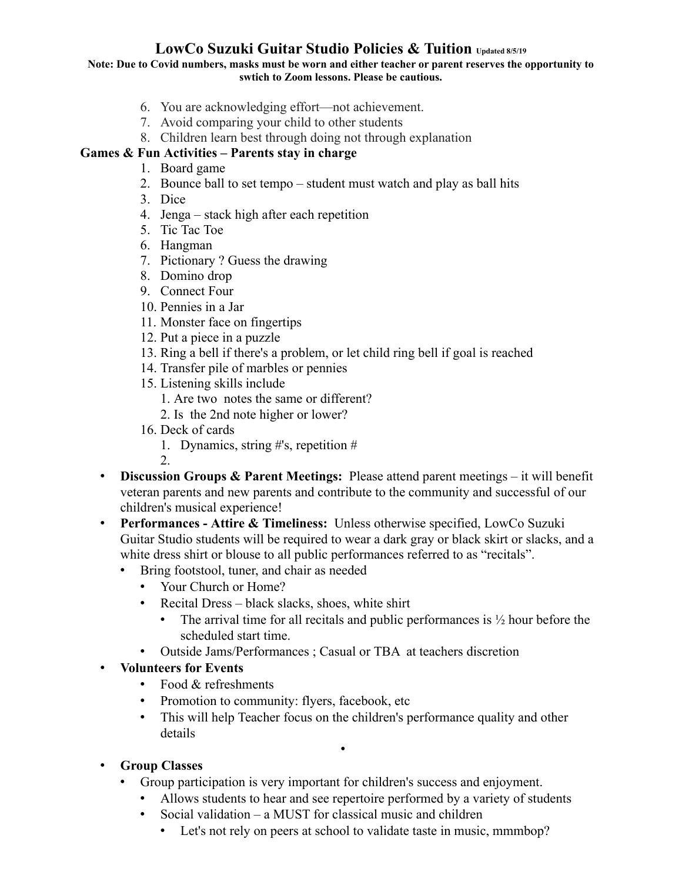**Note: Due to Covid numbers, masks must be worn and either teacher or parent reserves the opportunity to swtich to Zoom lessons. Please be cautious.**

- 6. You are acknowledging effort—not achievement.
- 7. Avoid comparing your child to other students
- 8. Children learn best through doing not through explanation

## **Games & Fun Activities – Parents stay in charge**

- 1. Board game
- 2. Bounce ball to set tempo student must watch and play as ball hits
- 3. Dice
- 4. Jenga stack high after each repetition
- 5. Tic Tac Toe
- 6. Hangman
- 7. Pictionary ? Guess the drawing
- 8. Domino drop
- 9. Connect Four
- 10. Pennies in a Jar
- 11. Monster face on fingertips
- 12. Put a piece in a puzzle
- 13. Ring a bell if there's a problem, or let child ring bell if goal is reached
- 14. Transfer pile of marbles or pennies
- 15. Listening skills include
	- 1. Are two notes the same or different?
	- 2. Is the 2nd note higher or lower?
- 16. Deck of cards
	- 1. Dynamics, string #'s, repetition #

2.

- **Discussion Groups & Parent Meetings:** Please attend parent meetings it will benefit veteran parents and new parents and contribute to the community and successful of our children's musical experience!
- **Performances Attire & Timeliness:** Unless otherwise specified, LowCo Suzuki Guitar Studio students will be required to wear a dark gray or black skirt or slacks, and a white dress shirt or blouse to all public performances referred to as "recitals".
	- Bring footstool, tuner, and chair as needed
		- Your Church or Home?
		- Recital Dress black slacks, shoes, white shirt
			- The arrival time for all recitals and public performances is  $\frac{1}{2}$  hour before the scheduled start time.
		- Outside Jams/Performances ; Casual or TBA at teachers discretion

## • **Volunteers for Events**

- Food & refreshments
- Promotion to community: flyers, facebook, etc
- This will help Teacher focus on the children's performance quality and other details
- **Group Classes**
	- Group participation is very important for children's success and enjoyment.

•

- Allows students to hear and see repertoire performed by a variety of students
- Social validation a MUST for classical music and children
	- Let's not rely on peers at school to validate taste in music, mmmbop?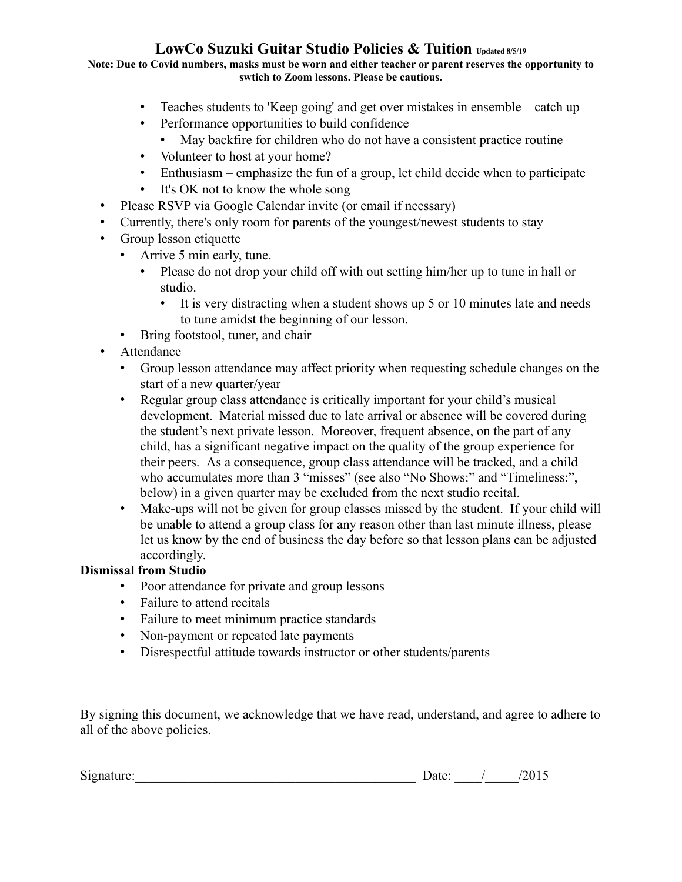**Note: Due to Covid numbers, masks must be worn and either teacher or parent reserves the opportunity to swtich to Zoom lessons. Please be cautious.**

- Teaches students to 'Keep going' and get over mistakes in ensemble catch up
- Performance opportunities to build confidence
	- May backfire for children who do not have a consistent practice routine
- Volunteer to host at your home?
- Enthusiasm emphasize the fun of a group, let child decide when to participate
- It's OK not to know the whole song
- Please RSVP via Google Calendar invite (or email if neessary)
- Currently, there's only room for parents of the youngest/newest students to stay
- Group lesson etiquette
	- Arrive 5 min early, tune.
		- Please do not drop your child off with out setting him/her up to tune in hall or studio.
			- It is very distracting when a student shows up 5 or 10 minutes late and needs to tune amidst the beginning of our lesson.
	- Bring footstool, tuner, and chair
- Attendance
	- Group lesson attendance may affect priority when requesting schedule changes on the start of a new quarter/year
	- Regular group class attendance is critically important for your child's musical development. Material missed due to late arrival or absence will be covered during the student's next private lesson. Moreover, frequent absence, on the part of any child, has a significant negative impact on the quality of the group experience for their peers. As a consequence, group class attendance will be tracked, and a child who accumulates more than 3 "misses" (see also "No Shows:" and "Timeliness:", below) in a given quarter may be excluded from the next studio recital.
	- Make-ups will not be given for group classes missed by the student. If your child will be unable to attend a group class for any reason other than last minute illness, please let us know by the end of business the day before so that lesson plans can be adjusted accordingly.

### **Dismissal from Studio**

- Poor attendance for private and group lessons
- Failure to attend recitals
- Failure to meet minimum practice standards
- Non-payment or repeated late payments
- Disrespectful attitude towards instructor or other students/parents

By signing this document, we acknowledge that we have read, understand, and agree to adhere to all of the above policies.

Signature:\_\_\_\_\_\_\_\_\_\_\_\_\_\_\_\_\_\_\_\_\_\_\_\_\_\_\_\_\_\_\_\_\_\_\_\_\_\_\_\_\_\_ Date: \_\_\_\_/\_\_\_\_\_/2015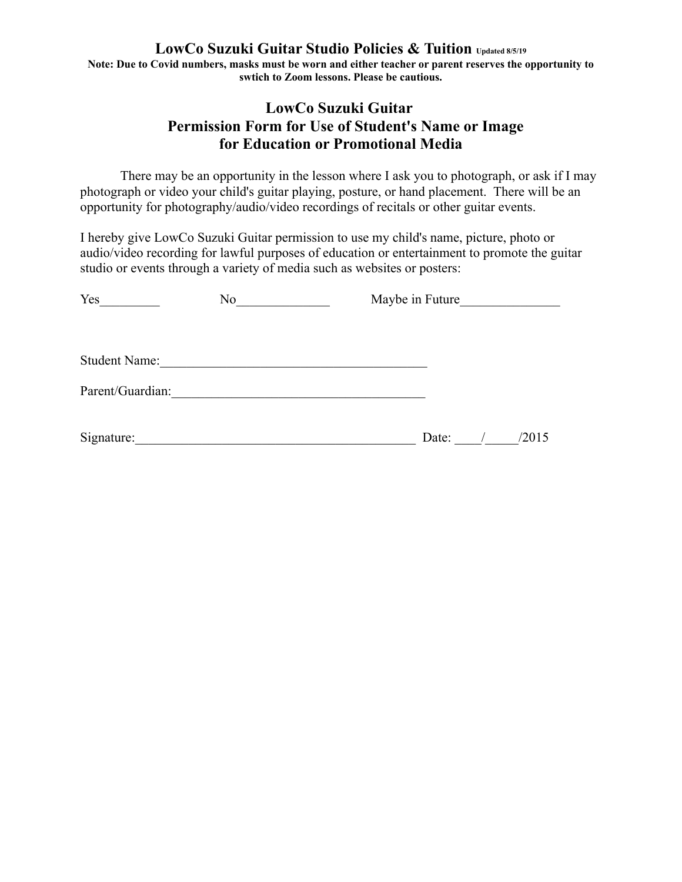**Note: Due to Covid numbers, masks must be worn and either teacher or parent reserves the opportunity to swtich to Zoom lessons. Please be cautious.**

# **LowCo Suzuki Guitar Permission Form for Use of Student's Name or Image for Education or Promotional Media**

There may be an opportunity in the lesson where I ask you to photograph, or ask if I may photograph or video your child's guitar playing, posture, or hand placement. There will be an opportunity for photography/audio/video recordings of recitals or other guitar events.

I hereby give LowCo Suzuki Guitar permission to use my child's name, picture, photo or audio/video recording for lawful purposes of education or entertainment to promote the guitar studio or events through a variety of media such as websites or posters:

| Yes                  | No | Maybe in Future |  |       |
|----------------------|----|-----------------|--|-------|
|                      |    |                 |  |       |
| <b>Student Name:</b> |    |                 |  |       |
| Parent/Guardian:     |    |                 |  |       |
| Signature:           |    | Date:           |  | /2015 |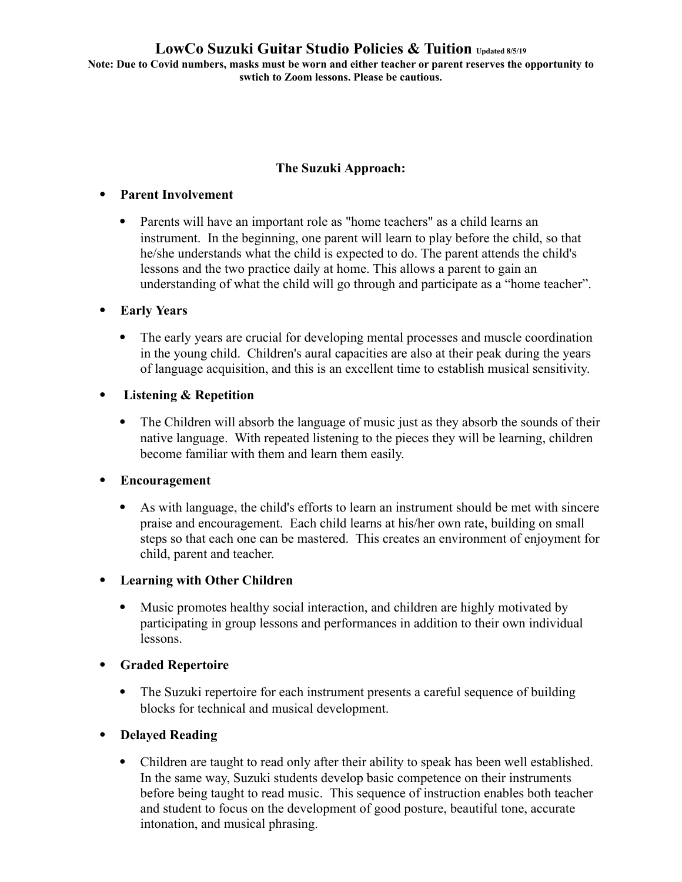**Note: Due to Covid numbers, masks must be worn and either teacher or parent reserves the opportunity to swtich to Zoom lessons. Please be cautious.**

### **The Suzuki Approach:**

#### **Parent Involvement**

 Parents will have an important role as "home teachers" as a child learns an instrument. In the beginning, one parent will learn to play before the child, so that he/she understands what the child is expected to do. The parent attends the child's lessons and the two practice daily at home. This allows a parent to gain an understanding of what the child will go through and participate as a "home teacher".

### **Early Years**

- The early years are crucial for developing mental processes and muscle coordination in the young child. Children's aural capacities are also at their peak during the years of language acquisition, and this is an excellent time to establish musical sensitivity.
- **Listening & Repetition**
	- The Children will absorb the language of music just as they absorb the sounds of their native language. With repeated listening to the pieces they will be learning, children become familiar with them and learn them easily.

### **Encouragement**

 As with language, the child's efforts to learn an instrument should be met with sincere praise and encouragement. Each child learns at his/her own rate, building on small steps so that each one can be mastered. This creates an environment of enjoyment for child, parent and teacher.

### **Learning with Other Children**

 Music promotes healthy social interaction, and children are highly motivated by participating in group lessons and performances in addition to their own individual lessons.

### **Graded Repertoire**

- The Suzuki repertoire for each instrument presents a careful sequence of building blocks for technical and musical development.
- **Delayed Reading**
	- Children are taught to read only after their ability to speak has been well established. In the same way, Suzuki students develop basic competence on their instruments before being taught to read music. This sequence of instruction enables both teacher and student to focus on the development of good posture, beautiful tone, accurate intonation, and musical phrasing.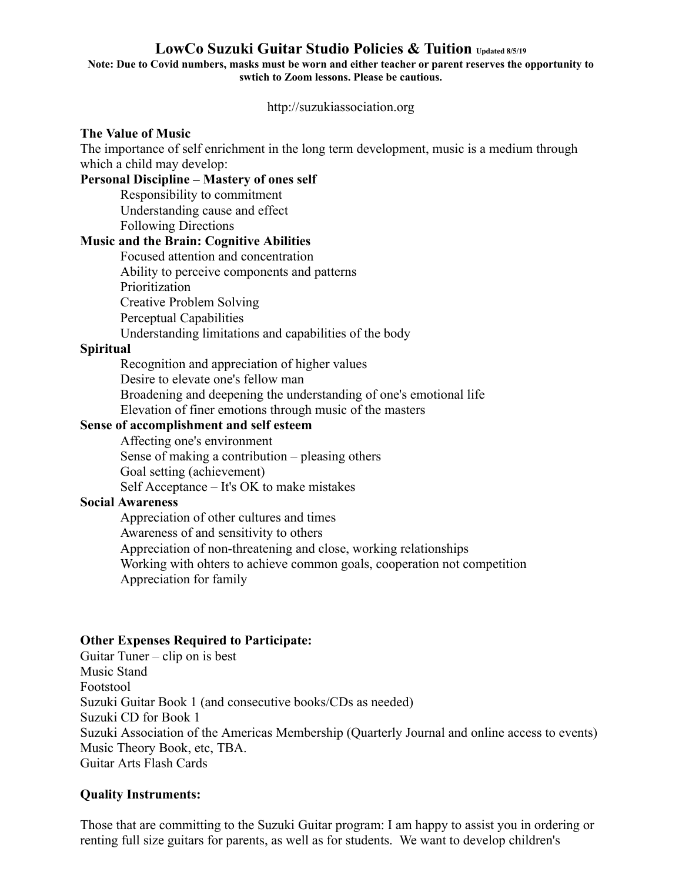#### **Note: Due to Covid numbers, masks must be worn and either teacher or parent reserves the opportunity to swtich to Zoom lessons. Please be cautious.**

http://suzukiassociation.org

#### **The Value of Music**

The importance of self enrichment in the long term development, music is a medium through which a child may develop:

#### **Personal Discipline – Mastery of ones self**

Responsibility to commitment Understanding cause and effect Following Directions

### **Music and the Brain: Cognitive Abilities**

Focused attention and concentration Ability to perceive components and patterns Prioritization Creative Problem Solving Perceptual Capabilities Understanding limitations and capabilities of the body

### **Spiritual**

Recognition and appreciation of higher values Desire to elevate one's fellow man Broadening and deepening the understanding of one's emotional life Elevation of finer emotions through music of the masters

### **Sense of accomplishment and self esteem**

Affecting one's environment Sense of making a contribution – pleasing others Goal setting (achievement) Self Acceptance – It's OK to make mistakes

### **Social Awareness**

Appreciation of other cultures and times Awareness of and sensitivity to others Appreciation of non-threatening and close, working relationships Working with ohters to achieve common goals, cooperation not competition Appreciation for family

### **Other Expenses Required to Participate:**

Guitar Tuner – clip on is best Music Stand Footstool Suzuki Guitar Book 1 (and consecutive books/CDs as needed) Suzuki CD for Book 1 Suzuki Association of the Americas Membership (Quarterly Journal and online access to events) Music Theory Book, etc, TBA. Guitar Arts Flash Cards

### **Quality Instruments:**

Those that are committing to the Suzuki Guitar program: I am happy to assist you in ordering or renting full size guitars for parents, as well as for students. We want to develop children's